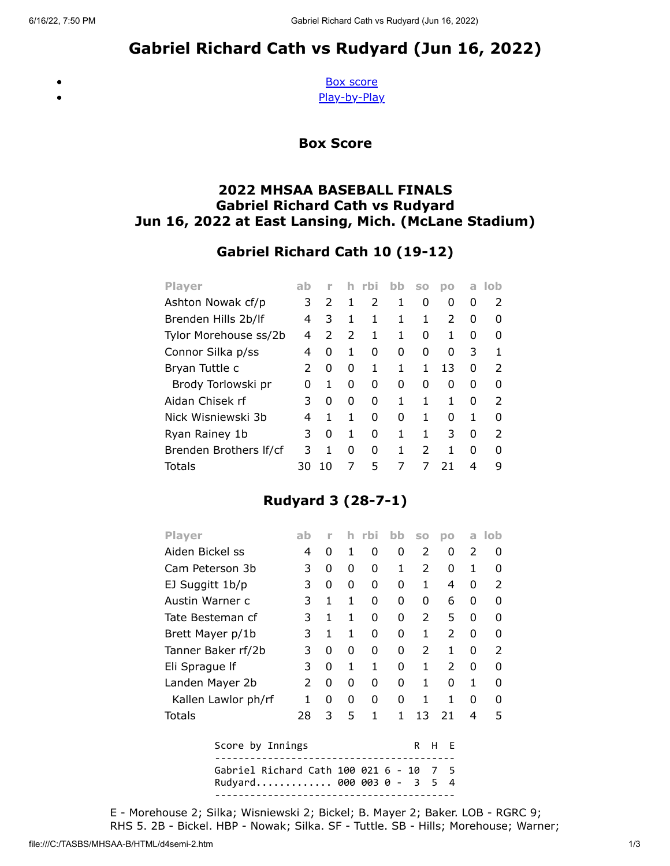# Gabriel Richard Cath vs Rudyard (Jun 16, 2022)

<span id="page-0-0"></span> $\bullet$  $\bullet$ 

[Box score](#page-0-0) [Play-by-Play](#page-1-0)

Box Score

#### 2022 MHSAA BASEBALL FINALS Gabriel Richard Cath vs Rudyard Jun 16, 2022 at East Lansing, Mich. (McLane Stadium)

### Gabriel Richard Cath 10 (19-12)

| <b>Player</b>          | ab |               | h             | rbi | bb | S <sub>0</sub> | <b>DO</b> | a | lob           |
|------------------------|----|---------------|---------------|-----|----|----------------|-----------|---|---------------|
| Ashton Nowak cf/p      | 3  | $\mathcal{P}$ | 1             | 2   | 1  | 0              | 0         | 0 |               |
| Brenden Hills 2b/lf    | 4  | 3             | 1             | 1   | 1  | 1              | 2         | 0 |               |
| Tylor Morehouse ss/2b  | 4  | $\mathcal{P}$ | $\mathcal{P}$ | 1   | 1  | 0              | 1         | O | O             |
| Connor Silka p/ss      | 4  | 0             | 1             | 0   | 0  | O              | O         | 3 |               |
| Bryan Tuttle c         | 2  | 0             | 0             | 1   | 1  | 1              | 13        | O | $\mathcal{P}$ |
| Brody Torlowski pr     | O  | 1             | 0             | 0   | O  | O              | O         | O |               |
| Aidan Chisek rf        | 3  | 0             | 0             | 0   | 1  | 1              | 1         | O | 2             |
| Nick Wisniewski 3b     | 4  | 1             | 1             | 0   | O  | 1              | O         | 1 | O             |
| Ryan Rainey 1b         | 3  | 0             | 1             | 0   | 1  | 1              | 3         | 0 | 2             |
| Brenden Brothers If/cf | 3  | 1             | 0             | 0   | 1  | 2              |           | ŋ | O             |
| Totals                 | 30 | 10            |               | 5   | 7  |                | 21        | 4 |               |

## Rudyard 3 (28-7-1)

| <b>Player</b>       | ab            | ۲      |   | rbi | bb | <b>SO</b>                | DO            | a | <b>lob</b>    |
|---------------------|---------------|--------|---|-----|----|--------------------------|---------------|---|---------------|
| Aiden Bickel ss     | 4             | 0      | 1 | 0   | 0  | $\mathcal{P}$            | 0             | 2 | 0             |
| Cam Peterson 3b     | 3             | 0      | 0 | 0   | 1  | $\mathcal{P}$            | 0             | 1 | 0             |
| EJ Suggitt 1b/p     | 3             | 0      | 0 | 0   | 0  | 1                        | 4             | 0 | $\mathcal{P}$ |
| Austin Warner c     | 3             | 1      | 1 | 0   | 0  | O                        | 6             | O | U             |
| Tate Besteman cf    | 3             | 1      | 1 | 0   | 0  | $\mathcal{P}$            | 5             | 0 | 0             |
| Brett Mayer p/1b    | 3             | 1      | 1 | 0   | 0  | 1                        | 2             | 0 | 0             |
| Tanner Baker rf/2b  | 3             | 0      | 0 | 0   | 0  | $\overline{\phantom{a}}$ | 1             | 0 | $\mathcal{P}$ |
| Eli Sprague If      | 3             | 0      | 1 | 1   | 0  | 1                        | $\mathcal{P}$ | O | U             |
| Landen Mayer 2b     | $\mathcal{P}$ | 0      | 0 | 0   | 0  | 1                        | 0             | 1 | O             |
| Kallen Lawlor ph/rf | 1             | 0      | 0 | 0   | 0  | 1                        | 1             | 0 | O             |
| <b>Totals</b>       | 28            | 3      | 5 | 1   | 1  | 13                       | 21            | 4 | 5             |
| Score by Innings    |               | R<br>н | E |     |    |                          |               |   |               |

RHS 5. 2B - Bickel. HBP - Nowak; Silka. SF - Tuttle. SB - Hills; Morehouse; Warner;

----------------------------------------- Gabriel Richard Cath 100 021 6 - 10 7 5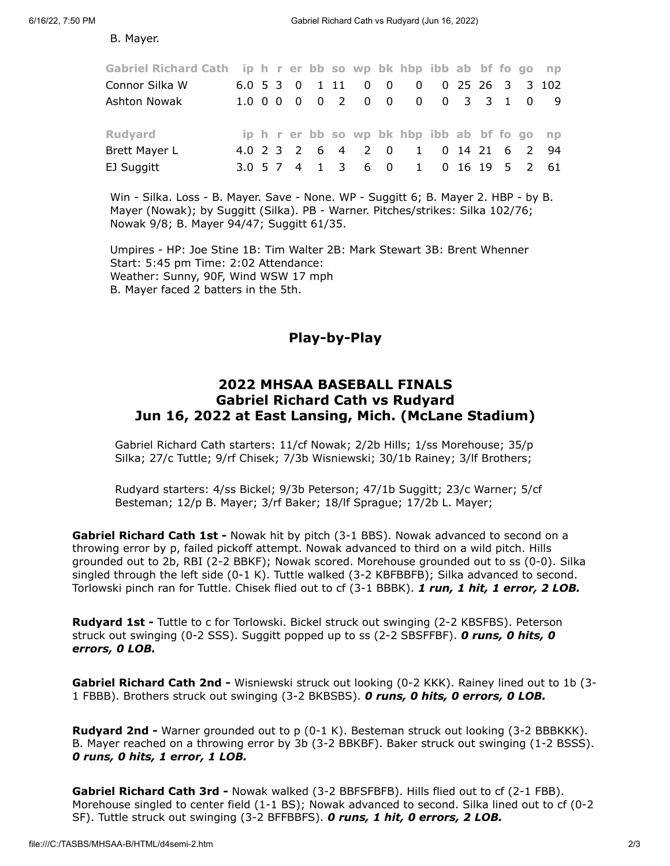B. Mayer.

| Gabriel Richard Cath ip h r er bb so wp bk hbp ibb ab bf fo go np |  |  |  |                    |                                              |  |  |  |
|-------------------------------------------------------------------|--|--|--|--------------------|----------------------------------------------|--|--|--|
| Connor Silka W                                                    |  |  |  | 6.0 5 3 0 1 11 0 0 | 0 0 25 26 3 3 102                            |  |  |  |
| Ashton Nowak                                                      |  |  |  |                    | 1.0 0 0 0 0 2 0 0 0 0 0 3 3 1 0 9            |  |  |  |
|                                                                   |  |  |  |                    |                                              |  |  |  |
| <b>Rudyard</b>                                                    |  |  |  |                    | ip h r er bb so wp bk hbp ibb ab bf fo go np |  |  |  |
| <b>Brett Mayer L</b>                                              |  |  |  |                    | 4.0 2 3 2 6 4 2 0 1 0 14 21 6 2 94           |  |  |  |
| EJ Suggitt                                                        |  |  |  |                    | 3.0 5 7 4 1 3 6 0 1 0 16 19 5 2 61           |  |  |  |
|                                                                   |  |  |  |                    |                                              |  |  |  |

Win - Silka. Loss - B. Mayer. Save - None. WP - Suggitt 6; B. Mayer 2. HBP - by B. Mayer (Nowak); by Suggitt (Silka). PB - Warner. Pitches/strikes: Silka 102/76; Nowak 9/8; B. Mayer 94/47; Suggitt 61/35.

<span id="page-1-0"></span>Umpires - HP: Joe Stine 1B: Tim Walter 2B: Mark Stewart 3B: Brent Whenner Start: 5:45 pm Time: 2:02 Attendance: Weather: Sunny, 90F, Wind WSW 17 mph B. Mayer faced 2 batters in the 5th.

### Play-by-Play

#### 2022 MHSAA BASEBALL FINALS Gabriel Richard Cath vs Rudyard Jun 16, 2022 at East Lansing, Mich. (McLane Stadium)

Gabriel Richard Cath starters: 11/cf Nowak; 2/2b Hills; 1/ss Morehouse; 35/p Silka; 27/c Tuttle; 9/rf Chisek; 7/3b Wisniewski; 30/1b Rainey; 3/lf Brothers;

Rudyard starters: 4/ss Bickel; 9/3b Peterson; 47/1b Suggitt; 23/c Warner; 5/cf Besteman; 12/p B. Mayer; 3/rf Baker; 18/lf Sprague; 17/2b L. Mayer;

Gabriel Richard Cath 1st - Nowak hit by pitch (3-1 BBS). Nowak advanced to second on a throwing error by p, failed pickoff attempt. Nowak advanced to third on a wild pitch. Hills grounded out to 2b, RBI (2-2 BBKF); Nowak scored. Morehouse grounded out to ss (0-0). Silka singled through the left side (0-1 K). Tuttle walked (3-2 KBFBBFB); Silka advanced to second. Torlowski pinch ran for Tuttle. Chisek flied out to cf (3-1 BBBK). 1 run, 1 hit, 1 error, 2 LOB.

**Rudyard 1st -** Tuttle to c for Torlowski. Bickel struck out swinging (2-2 KBSFBS). Peterson struck out swinging (0-2 SSS). Suggitt popped up to ss (2-2 SBSFFBF). **O runs, 0 hits, 0** errors, 0 LOB.

Gabriel Richard Cath 2nd - Wisniewski struck out looking (0-2 KKK). Rainey lined out to 1b (3-1 FBBB). Brothers struck out swinging (3-2 BKBSBS). O runs, O hits, O errors, O LOB.

Rudyard 2nd - Warner grounded out to p (0-1 K). Besteman struck out looking (3-2 BBBKKK). B. Mayer reached on a throwing error by 3b (3-2 BBKBF). Baker struck out swinging (1-2 BSSS). 0 runs, 0 hits, 1 error, 1 LOB.

Gabriel Richard Cath 3rd - Nowak walked (3-2 BBFSFBFB). Hills flied out to cf (2-1 FBB). Morehouse singled to center field (1-1 BS); Nowak advanced to second. Silka lined out to cf (0-2 SF). Tuttle struck out swinging (3-2 BFFBBFS). O runs, 1 hit, 0 errors, 2 LOB.